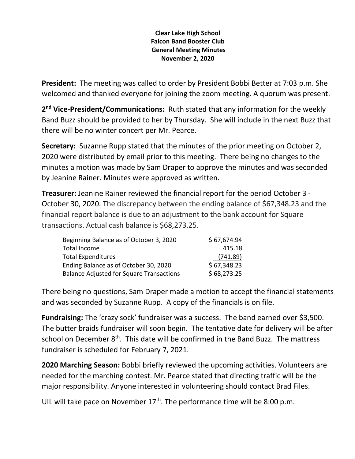## **Clear Lake High School Falcon Band Booster Club General Meeting Minutes November 2, 2020**

**President:** The meeting was called to order by President Bobbi Better at 7:03 p.m. She welcomed and thanked everyone for joining the zoom meeting. A quorum was present.

2<sup>nd</sup> Vice-President/Communications: Ruth stated that any information for the weekly Band Buzz should be provided to her by Thursday. She will include in the next Buzz that there will be no winter concert per Mr. Pearce.

**Secretary:** Suzanne Rupp stated that the minutes of the prior meeting on October 2, 2020 were distributed by email prior to this meeting. There being no changes to the minutes a motion was made by Sam Draper to approve the minutes and was seconded by Jeanine Rainer. Minutes were approved as written.

**Treasurer:** Jeanine Rainer reviewed the financial report for the period October 3 - October 30, 2020. The discrepancy between the ending balance of \$67,348.23 and the financial report balance is due to an adjustment to the bank account for Square transactions. Actual cash balance is \$68,273.25.

| Beginning Balance as of October 3, 2020         | \$67,674.94 |
|-------------------------------------------------|-------------|
| Total Income                                    | 415.18      |
| <b>Total Expenditures</b>                       | (741.89)    |
| Ending Balance as of October 30, 2020           | \$67,348.23 |
| <b>Balance Adjusted for Square Transactions</b> | \$68,273.25 |

There being no questions, Sam Draper made a motion to accept the financial statements and was seconded by Suzanne Rupp. A copy of the financials is on file.

**Fundraising:** The 'crazy sock' fundraiser was a success. The band earned over \$3,500. The butter braids fundraiser will soon begin. The tentative date for delivery will be after school on December  $8<sup>th</sup>$ . This date will be confirmed in the Band Buzz. The mattress fundraiser is scheduled for February 7, 2021.

**2020 Marching Season:** Bobbi briefly reviewed the upcoming activities. Volunteers are needed for the marching contest. Mr. Pearce stated that directing traffic will be the major responsibility. Anyone interested in volunteering should contact Brad Files.

UIL will take pace on November  $17<sup>th</sup>$ . The performance time will be 8:00 p.m.